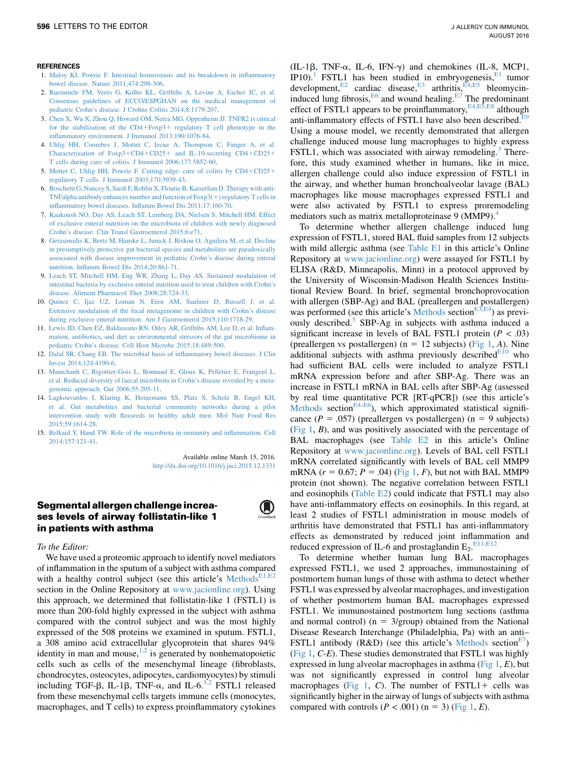- 1. [Maloy KJ, Powrie F. Intestinal homeostasis and its breakdown in inflammatory](http://refhub.elsevier.com/S0091-6749(16)00256-6/sref1) [bowel disease. Nature 2011;474:298-306](http://refhub.elsevier.com/S0091-6749(16)00256-6/sref1).
- 2. [Ruemmele FM, Veres G, Kolho KL, Griffiths A, Levine A, Escher JC, et al.](http://refhub.elsevier.com/S0091-6749(16)00256-6/sref2) [Consensus guidelines of ECCO/ESPGHAN on the medical management of](http://refhub.elsevier.com/S0091-6749(16)00256-6/sref2) [pediatric Crohn's disease. J Crohns Colitis 2014;8:1179-207.](http://refhub.elsevier.com/S0091-6749(16)00256-6/sref2)
- 3. [Chen X, Wu X, Zhou Q, Howard OM, Netea MG, Oppenheim JJ. TNFR2 is critical](http://refhub.elsevier.com/S0091-6749(16)00256-6/sref3) for the stabilization of the  $CD4 + Foxp3 +$  $CD4 + Foxp3 +$  $CD4 + Foxp3 +$  [regulatory T cell phenotype in the](http://refhub.elsevier.com/S0091-6749(16)00256-6/sref3) [inflammatory environment. J Immunol 2013;190:1076-84.](http://refhub.elsevier.com/S0091-6749(16)00256-6/sref3)
- 4. [Uhlig HH, Coombes J, Mottet C, Izcue A, Thompson C, Fanger A, et al.](http://refhub.elsevier.com/S0091-6749(16)00256-6/sref4) [Characterization of Foxp3](http://refhub.elsevier.com/S0091-6749(16)00256-6/sref4)+[CD4](http://refhub.elsevier.com/S0091-6749(16)00256-6/sref4)+[CD25](http://refhub.elsevier.com/S0091-6749(16)00256-6/sref4)+ [and IL-10-secreting CD4](http://refhub.elsevier.com/S0091-6749(16)00256-6/sref4)+CD25+ [T cells during cure of colitis. J Immunol 2006;177:5852-60](http://refhub.elsevier.com/S0091-6749(16)00256-6/sref4).
- 5. Mottet C, Uhlig HH, Powrie F. Cutting edge: cure of colitis by  $CD4+CD25+$  $CD4+CD25+$  $CD4+CD25+$ [regulatory T cells. J Immunol 2003;170:3939-43.](http://refhub.elsevier.com/S0091-6749(16)00256-6/sref5)
- 6. [Boschetti G, Nancey S, Sardi F, Roblin X, Flourie B, Kaiserlian D. Therapy with anti-](http://refhub.elsevier.com/S0091-6749(16)00256-6/sref6)TNFalpha antibody enhances number and function of  $F\alpha p3(+)$  regulatory T cells in [inflammatory bowel diseases. Inflamm Bowel Dis 2011;17:160-70](http://refhub.elsevier.com/S0091-6749(16)00256-6/sref6).
- 7. [Kaakoush NO, Day AS, Leach ST, Lemberg DA, Nielsen S, Mitchell HM. Effect](http://refhub.elsevier.com/S0091-6749(16)00256-6/sref7) [of exclusive enteral nutrition on the microbiota of children with newly diagnosed](http://refhub.elsevier.com/S0091-6749(16)00256-6/sref7) [Crohn's disease. Clin Transl Gastroenterol 2015;6:e71.](http://refhub.elsevier.com/S0091-6749(16)00256-6/sref7)
- 8. [Gerasimidis K, Bertz M, Hanske L, Junick J, Biskou O, Aguilera M, et al. Decline](http://refhub.elsevier.com/S0091-6749(16)00256-6/sref8) [in presumptively protective gut bacterial species and metabolites are paradoxically](http://refhub.elsevier.com/S0091-6749(16)00256-6/sref8) [associated with disease improvement in pediatric Crohn's disease during enteral](http://refhub.elsevier.com/S0091-6749(16)00256-6/sref8) [nutrition. Inflamm Bowel Dis 2014;20:861-71.](http://refhub.elsevier.com/S0091-6749(16)00256-6/sref8)
- 9. [Leach ST, Mitchell HM, Eng WR, Zhang L, Day AS. Sustained modulation of](http://refhub.elsevier.com/S0091-6749(16)00256-6/sref9) [intestinal bacteria by exclusive enteral nutrition used to treat children with Crohn's](http://refhub.elsevier.com/S0091-6749(16)00256-6/sref9) [disease. Aliment Pharmacol Ther 2008;28:724-33.](http://refhub.elsevier.com/S0091-6749(16)00256-6/sref9)
- 10. [Quince C, Ijaz UZ, Loman N, Eren AM, Saulnier D, Russell J, et al.](http://refhub.elsevier.com/S0091-6749(16)00256-6/sref10) [Extensive modulation of the fecal metagenome in children with Crohn's disease](http://refhub.elsevier.com/S0091-6749(16)00256-6/sref10) [during exclusive enteral nutrition. Am J Gastroenterol 2015;110:1718-29.](http://refhub.elsevier.com/S0091-6749(16)00256-6/sref10)
- 11. [Lewis JD, Chen EZ, Baldassano RN, Otley AR, Griffiths AM, Lee D, et al. Inflam](http://refhub.elsevier.com/S0091-6749(16)00256-6/sref11)[mation, antibiotics, and diet as environmental stressors of the gut microbiome in](http://refhub.elsevier.com/S0091-6749(16)00256-6/sref11) [pediatric Crohn's disease. Cell Host Microbe 2015;18:489-500](http://refhub.elsevier.com/S0091-6749(16)00256-6/sref11).
- 12. [Dalal SR, Chang EB. The microbial basis of inflammatory bowel diseases. J Clin](http://refhub.elsevier.com/S0091-6749(16)00256-6/sref12) [Invest 2014;124:4190-6.](http://refhub.elsevier.com/S0091-6749(16)00256-6/sref12)
- 13. [Manichanh C, Rigottier-Gois L, Bonnaud E, Gloux K, Pelletier E, Frangeul L,](http://refhub.elsevier.com/S0091-6749(16)00256-6/sref13) [et al. Reduced diversity of faecal microbiota in Crohn's disease revealed by a meta](http://refhub.elsevier.com/S0091-6749(16)00256-6/sref13)[genomic approach. Gut 2006;55:205-11.](http://refhub.elsevier.com/S0091-6749(16)00256-6/sref13)
- 14. [Lagkouvardos I, Klaring K, Heinzmann SS, Platz S, Scholz B, Engel KH,](http://refhub.elsevier.com/S0091-6749(16)00256-6/sref14) [et al. Gut metabolites and bacterial community networks during a pilot](http://refhub.elsevier.com/S0091-6749(16)00256-6/sref14) [intervention study with flaxseeds in healthy adult men. Mol Nutr Food Res](http://refhub.elsevier.com/S0091-6749(16)00256-6/sref14) [2015;59:1614-28](http://refhub.elsevier.com/S0091-6749(16)00256-6/sref14).
- 15. [Belkaid Y, Hand TW. Role of the microbiota in immunity and inflammation. Cell](http://refhub.elsevier.com/S0091-6749(16)00256-6/sref15) [2014;157:121-41](http://refhub.elsevier.com/S0091-6749(16)00256-6/sref15).

Available online March 15, 2016. <http://dx.doi.org/10.1016/j.jaci.2015.12.1331>

## Segmental allergen challenge increases levels of airway follistatin-like 1 in patients with asthma



To the Editor:

We have used a proteomic approach to identify novel mediators of inflammation in the sputum of a subject with asthma compared with a healthy control subject (see this article's Methods<sup>[E1,E2](#page-4-0)</sup> section in the Online Repository at [www.jacionline.org\)](http://www.jacionline.org). Using this approach, we determined that follistatin-like 1 (FSTL1) is more than 200-fold highly expressed in the subject with asthma compared with the control subject and was the most highly expressed of the 508 proteins we examined in sputum. FSTL1, a 308 amino acid extracellular glycoprotein that shares 94% identity in man and mouse, $1,2$  is generated by nonhematopoietic cells such as cells of the mesenchymal lineage (fibroblasts, chondrocytes, osteocytes, adipocytes, cardiomyocytes) by stimuli including TGF- $\beta$ , IL-1 $\beta$ , TNF- $\alpha$ , and IL-6.<sup>[1,2](#page-3-0)</sup> FSTL1 released from these mesenchymal cells targets immune cells (monocytes, macrophages, and T cells) to express proinflammatory cytokines

(IL-1 $\beta$ , TNF- $\alpha$ , IL-6, IFN- $\gamma$ ) and chemokines (IL-8, MCP1, IP10).<sup>1</sup> FSTL1 has been studied in embryogenesis,<sup>E1</sup> tumor development, $E^2$  cardiac disease, $E^3$  arthritis, $E^{4,E5}$  bleomycininduced lung fibrosis, $E_6$  and wound healing.<sup>[E7](#page-5-0)</sup> The predominant effect of FSTL1 appears to be proinflammatory, <sup>[E4,E5,E8](#page-4-0)</sup> although anti-inflammatory effects of FSTL1 have also been described.<sup>[E9](#page-5-0)</sup> Using a mouse model, we recently demonstrated that allergen challenge induced mouse lung macrophages to highly express FSTL1, which was associated with airway remodeling.<sup>3</sup> Therefore, this study examined whether in humans, like in mice, allergen challenge could also induce expression of FSTL1 in the airway, and whether human bronchoalveolar lavage (BAL) macrophages like mouse macrophages expressed FSTL1 and were also activated by FSTL1 to express proremodeling mediators such as matrix metalloproteinase 9 (MMP9).<sup>[4](#page-3-0)</sup>

To determine whether allergen challenge induced lung expression of FSTL1, stored BAL fluid samples from 12 subjects with mild allergic asthma (see [Table E1](#page-6-0) in this article's Online Repository at [www.jacionline.org\)](http://www.jacionline.org) were assayed for FSTL1 by ELISA (R&D, Minneapolis, Minn) in a protocol approved by the University of Wisconsin-Madison Health Sciences Institutional Review Board. In brief, segmental bronchoprovocation with allergen (SBP-Ag) and BAL (preallergen and postallergen) was performed (see this article's Methods section<sup>[E3,E4](#page-4-0)</sup>) as previ-ously described.<sup>[5](#page-3-0)</sup> SBP-Ag in subjects with asthma induced a significant increase in levels of BAL FSTL1 protein  $(P < .03)$ (preallergen vs postallergen) ( $n = 12$  subjects) ([Fig 1,](#page-1-0) A). Nine additional subjects with asthma previously described $E_{10}$  who had sufficient BAL cells were included to analyze FSTL1 mRNA expression before and after SBP-Ag. There was an increase in FSTL1 mRNA in BAL cells after SBP-Ag (assessed by real time quantitative PCR [RT-qPCR]) (see this article's Methods section<sup>E4-E6</sup>), which approximated statistical significance ( $P = .057$ ) (preallergen vs postallergen) (n = 9 subjects) (Fig  $1, B$ ), and was positively associated with the percentage of BAL macrophages (see [Table E2](#page-7-0) in this article's Online Repository at [www.jacionline.org](http://www.jacionline.org)). Levels of BAL cell FSTL1 mRNA correlated significantly with levels of BAL cell MMP9 mRNA  $(r = 0.67; P = .04)$  ([Fig 1,](#page-1-0) F), but not with BAL MMP9 protein (not shown). The negative correlation between FSTL1 and eosinophils ([Table E2](#page-7-0)) could indicate that FSTL1 may also have anti-inflammatory effects on eosinophils. In this regard, at least 2 studies of FSTL1 administration in mouse models of arthritis have demonstrated that FSTL1 has anti-inflammatory effects as demonstrated by reduced joint inflammation and reduced expression of IL-6 and prostaglandin  $E_2$ .<sup>[E11,E12](#page-5-0)</sup>

To determine whether human lung BAL macrophages expressed FSTL1, we used 2 approaches, immunostaining of postmortem human lungs of those with asthma to detect whether FSTL1 was expressed by alveolar macrophages, and investigation of whether postmortem human BAL macrophages expressed FSTL1. We immunostained postmortem lung sections (asthma and normal control) ( $n = 3$ /group) obtained from the National Disease Research Interchange (Philadelphia, Pa) with an anti– FSTL1 antibody (R&D) (see this article's Methods section<sup>E7</sup>) [\(Fig 1,](#page-1-0)  $C$ -E). These studies demonstrated that FSTL1 was highly expressed in lung alveolar macrophages in asthma (Fig  $1, E$ ), but was not significantly expressed in control lung alveolar macrophages ([Fig 1,](#page-1-0) C). The number of  $FSTL1 +$  cells was significantly higher in the airway of lungs of subjects with asthma compared with controls  $(P < .001)$  (n = 3) ([Fig 1,](#page-1-0) E).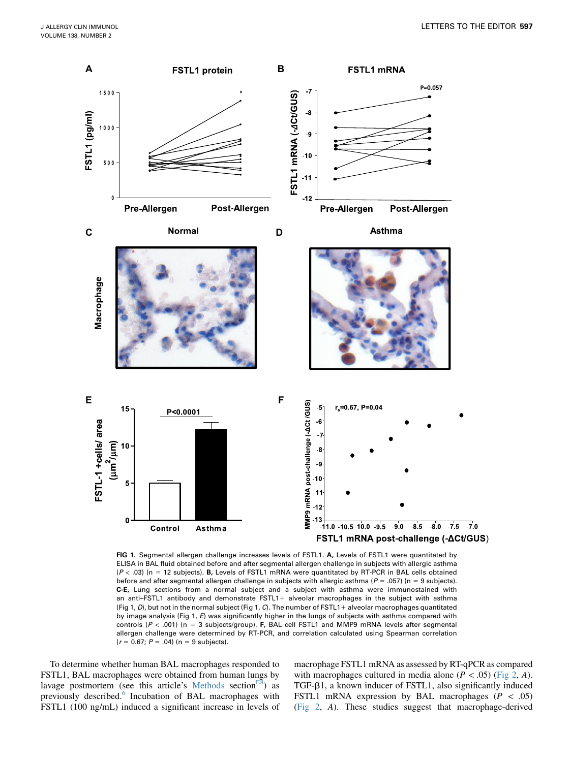<span id="page-1-0"></span>

FIG 1. Segmental allergen challenge increases levels of FSTL1. A, Levels of FSTL1 were quantitated by ELISA in BAL fluid obtained before and after segmental allergen challenge in subjects with allergic asthma  $(P < .03)$  (n = 12 subjects). B, Levels of FSTL1 mRNA were quantitated by RT-PCR in BAL cells obtained before and after segmental allergen challenge in subjects with allergic asthma ( $P = .057$ ) (n = 9 subjects). C-E, Lung sections from a normal subject and a subject with asthma were immunostained with an anti–FSTL1 antibody and demonstrate FSTL1+ alveolar macrophages in the subject with asthma (Fig 1, D), but not in the normal subject (Fig 1, C). The number of FSTL1+ alveolar macrophages quantitated by image analysis (Fig 1, E) was significantly higher in the lungs of subjects with asthma compared with controls ( $P < .001$ ) (n = 3 subjects/group). F, BAL cell FSTL1 and MMP9 mRNA levels after segmental allergen challenge were determined by RT-PCR, and correlation calculated using Spearman correlation  $(r = 0.67; P = .04)$  (n = 9 subjects).

To determine whether human BAL macrophages responded to FSTL1, BAL macrophages were obtained from human lungs by lavage postmortem (see this article's Methods section<sup>E8</sup>) as previously described.<sup>[6](#page-3-0)</sup> Incubation of BAL macrophages with FSTL1 (100 ng/mL) induced a significant increase in levels of macrophage FSTL1 mRNA as assessed by RT-qPCR as compared with macrophages cultured in media alone ( $P < .05$ ) [\(Fig 2](#page-2-0), A).  $TGF- $\beta$ 1, a known inducer of FSTL1, also significantly induced$ FSTL1 mRNA expression by BAL macrophages ( $P < .05$ ) [\(Fig 2](#page-2-0), A). These studies suggest that macrophage-derived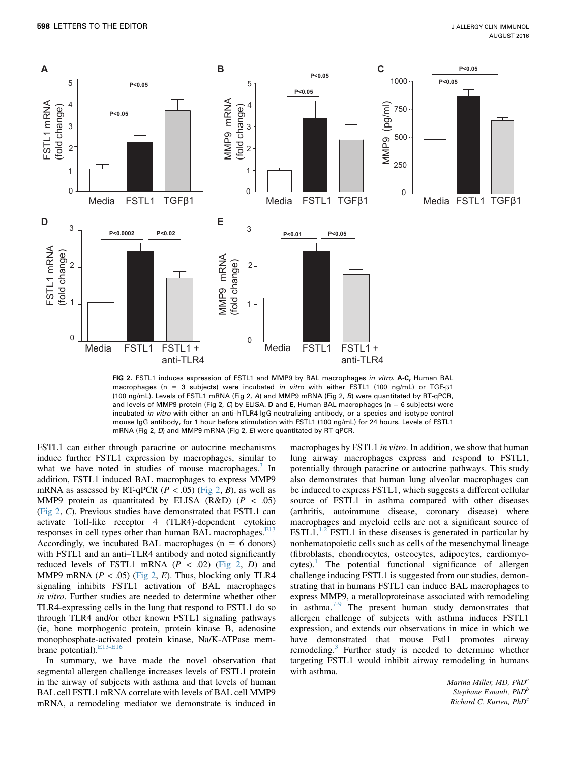<span id="page-2-0"></span>

FIG 2. FSTL1 induces expression of FSTL1 and MMP9 by BAL macrophages in vitro. A-C, Human BAL macrophages (n = 3 subjects) were incubated in vitro with either FSTL1 (100 ng/mL) or TGF- $\beta$ 1 (100 ng/mL). Levels of FSTL1 mRNA (Fig 2, A) and MMP9 mRNA (Fig 2, B) were quantitated by RT-qPCR, and levels of MMP9 protein (Fig 2, C) by ELISA. D and E, Human BAL macrophages (n = 6 subjects) were incubated in vitro with either an anti–hTLR4-IgG-neutralizing antibody, or a species and isotype control mouse IgG antibody, for 1 hour before stimulation with FSTL1 (100 ng/mL) for 24 hours. Levels of FSTL1 mRNA (Fig 2, D) and MMP9 mRNA (Fig 2, E) were quantitated by RT-qPCR.

FSTL1 can either through paracrine or autocrine mechanisms induce further FSTL1 expression by macrophages, similar to what we have noted in studies of mouse macrophages.<sup>3</sup> In addition, FSTL1 induced BAL macrophages to express MMP9 mRNA as assessed by RT-qPCR ( $P < .05$ ) (Fig 2, B), as well as MMP9 protein as quantitated by ELISA (R&D) ( $P < .05$ ) (Fig 2, C). Previous studies have demonstrated that FSTL1 can activate Toll-like receptor 4 (TLR4)-dependent cytokine responses in cell types other than human BAL macrophages.<sup>[E13](#page-5-0)</sup> Accordingly, we incubated BAL macrophages ( $n = 6$  donors) with FSTL1 and an anti-TLR4 antibody and noted significantly reduced levels of FSTL1 mRNA  $(P < .02)$  (Fig 2, D) and MMP9 mRNA ( $P < .05$ ) (Fig 2, E). Thus, blocking only TLR4 signaling inhibits FSTL1 activation of BAL macrophages in vitro. Further studies are needed to determine whether other TLR4-expressing cells in the lung that respond to FSTL1 do so through TLR4 and/or other known FSTL1 signaling pathways (ie, bone morphogenic protein, protein kinase B, adenosine monophosphate-activated protein kinase, Na/K-ATPase mem-brane potential).<sup>[E13-E16](#page-5-0)</sup>

In summary, we have made the novel observation that segmental allergen challenge increases levels of FSTL1 protein in the airway of subjects with asthma and that levels of human BAL cell FSTL1 mRNA correlate with levels of BAL cell MMP9 mRNA, a remodeling mediator we demonstrate is induced in

macrophages by FSTL1 in vitro. In addition, we show that human lung airway macrophages express and respond to FSTL1, potentially through paracrine or autocrine pathways. This study also demonstrates that human lung alveolar macrophages can be induced to express FSTL1, which suggests a different cellular source of FSTL1 in asthma compared with other diseases (arthritis, autoimmune disease, coronary disease) where macrophages and myeloid cells are not a significant source of  $\text{FSTL1}^{1,2}$  FSTL1 in these diseases is generated in particular by nonhematopoietic cells such as cells of the mesenchymal lineage (fibroblasts, chondrocytes, osteocytes, adipocytes, cardiomyo $cytes$ ).<sup>[1](#page-3-0)</sup> The potential functional significance of allergen challenge inducing FSTL1 is suggested from our studies, demonstrating that in humans FSTL1 can induce BAL macrophages to express MMP9, a metalloproteinase associated with remodeling in asthma.<sup>7-9</sup> The present human study demonstrates that allergen challenge of subjects with asthma induces FSTL1 expression, and extends our observations in mice in which we have demonstrated that mouse Fstl1 promotes airway remodeling.<sup>[3](#page-3-0)</sup> Further study is needed to determine whether targeting FSTL1 would inhibit airway remodeling in humans with asthma.

> Marina Miller, MD, PhD<sup>a</sup> Stephane Esnault, PhD<sup>b</sup> Richard C. Kurten, PhD<sup>c</sup>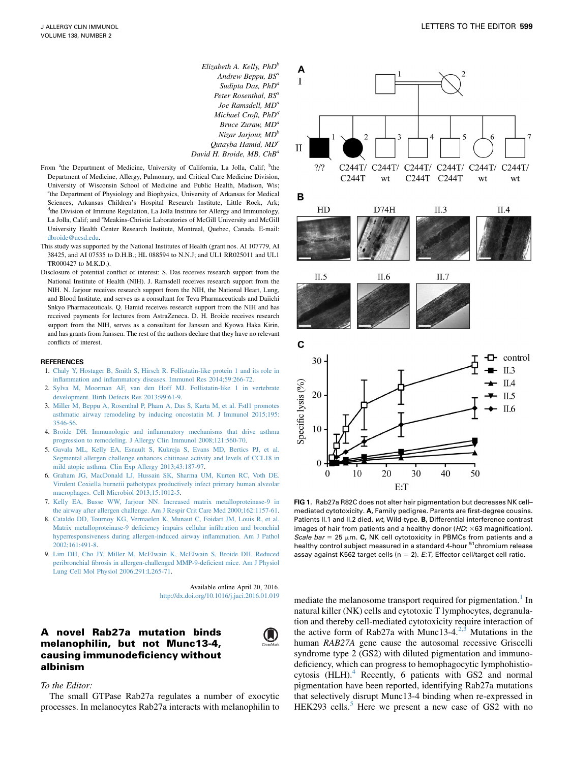Elizabeth A. Kelly,  $PhD^b$ Andrew Beppu, BS<sup>a</sup> Sudipta Das, PhD<sup>a</sup> Peter Rosenthal, BS<sup>a</sup> Joe Ramsdell, MD<sup>o</sup> Michael Croft, PhD<sup>d</sup> Bruce Zuraw, MD<sup>a</sup> Nizar Jarjour,  $MD<sup>b</sup>$ Qutayba Hamid, MDe David H. Broide, MB, ChB<sup>a</sup>

- <span id="page-3-0"></span>From <sup>a</sup>the Department of Medicine, University of California, La Jolla, Calif; <sup>b</sup>the Department of Medicine, Allergy, Pulmonary, and Critical Care Medicine Division, University of Wisconsin School of Medicine and Public Health, Madison, Wis; <sup>c</sup>the Department of Physiology and Biophysics, University of Arkansas for Medical Sciences, Arkansas Children's Hospital Research Institute, Little Rock, Ark; <sup>d</sup>the Division of Immune Regulation, La Jolla Institute for Allergy and Immunology, La Jolla, Calif; and <sup>e</sup>Meakins-Christie Laboratories of McGill University and McGill University Health Center Research Institute, Montreal, Quebec, Canada. E-mail: [dbroide@ucsd.edu](mailto:dbroide@ucsd.edu).
- This study was supported by the National Institutes of Health (grant nos. AI 107779, AI 38425, and AI 07535 to D.H.B.; HL 088594 to N.N.J; and UL1 RR025011 and UL1 TR000427 to M.K.D.).
- Disclosure of potential conflict of interest: S. Das receives research support from the National Institute of Health (NIH). J. Ramsdell receives research support from the NIH. N. Jarjour receives research support from the NIH, the National Heart, Lung, and Blood Institute, and serves as a consultant for Teva Pharmaceuticals and Daiichi Snkyo Pharmaceuticals. Q. Hamid receives research support from the NIH and has received payments for lectures from AstraZeneca. D. H. Broide receives research support from the NIH, serves as a consultant for Janssen and Kyowa Haka Kirin, and has grants from Janssen. The rest of the authors declare that they have no relevant conflicts of interest.

#### REFERENCES

- 1. [Chaly Y, Hostager B, Smith S, Hirsch R. Follistatin-like protein 1 and its role in](http://refhub.elsevier.com/S0091-6749(16)00256-6/sref1) [inflammation and inflammatory diseases. Immunol Res 2014;59:266-72](http://refhub.elsevier.com/S0091-6749(16)00256-6/sref1).
- 2. [Sylva M, Moorman AF, van den Hoff MJ. Follistatin-like 1 in vertebrate](http://refhub.elsevier.com/S0091-6749(16)00256-6/sref2) [development. Birth Defects Res 2013;99:61-9](http://refhub.elsevier.com/S0091-6749(16)00256-6/sref2).
- 3. [Miller M, Beppu A, Rosenthal P, Pham A, Das S, Karta M, et al. Fstl1 promotes](http://refhub.elsevier.com/S0091-6749(16)00256-6/sref3) [asthmatic airway remodeling by inducing oncostatin M. J Immunol 2015;195:](http://refhub.elsevier.com/S0091-6749(16)00256-6/sref3) [3546-56.](http://refhub.elsevier.com/S0091-6749(16)00256-6/sref3)
- 4. [Broide DH. Immunologic and inflammatory mechanisms that drive asthma](http://refhub.elsevier.com/S0091-6749(16)00256-6/sref4) [progression to remodeling. J Allergy Clin Immunol 2008;121:560-70.](http://refhub.elsevier.com/S0091-6749(16)00256-6/sref4)
- 5. [Gavala ML, Kelly EA, Esnault S, Kukreja S, Evans MD, Bertics PJ, et al.](http://refhub.elsevier.com/S0091-6749(16)00256-6/sref5) [Segmental allergen challenge enhances chitinase activity and levels of CCL18 in](http://refhub.elsevier.com/S0091-6749(16)00256-6/sref5) [mild atopic asthma. Clin Exp Allergy 2013;43:187-97](http://refhub.elsevier.com/S0091-6749(16)00256-6/sref5).
- 6. [Graham JG, MacDonald LJ, Hussain SK, Sharma UM, Kurten RC, Voth DE.](http://refhub.elsevier.com/S0091-6749(16)00256-6/sref6) [Virulent Coxiella burnetii pathotypes productively infect primary human alveolar](http://refhub.elsevier.com/S0091-6749(16)00256-6/sref6) [macrophages. Cell Microbiol 2013;15:1012-5.](http://refhub.elsevier.com/S0091-6749(16)00256-6/sref6)
- 7. [Kelly EA, Busse WW, Jarjour NN. Increased matrix metalloproteinase-9 in](http://refhub.elsevier.com/S0091-6749(16)00256-6/sref7) [the airway after allergen challenge. Am J Respir Crit Care Med 2000;162:1157-61](http://refhub.elsevier.com/S0091-6749(16)00256-6/sref7).
- 8. [Cataldo DD, Tournoy KG, Vermaelen K, Munaut C, Foidart JM, Louis R, et al.](http://refhub.elsevier.com/S0091-6749(16)00256-6/sref8) [Matrix metalloproteinase-9 deficiency impairs cellular infiltration and bronchial](http://refhub.elsevier.com/S0091-6749(16)00256-6/sref8) [hyperresponsiveness during allergen-induced airway inflammation. Am J Pathol](http://refhub.elsevier.com/S0091-6749(16)00256-6/sref8) [2002;161:491-8](http://refhub.elsevier.com/S0091-6749(16)00256-6/sref8).
- 9. [Lim DH, Cho JY, Miller M, McElwain K, McElwain S, Broide DH. Reduced](http://refhub.elsevier.com/S0091-6749(16)00256-6/sref9) [peribronchial fibrosis in allergen-challenged MMP-9-deficient mice. Am J Physiol](http://refhub.elsevier.com/S0091-6749(16)00256-6/sref9) [Lung Cell Mol Physiol 2006;291:L265-71](http://refhub.elsevier.com/S0091-6749(16)00256-6/sref9).

Available online April 20, 2016. <http://dx.doi.org/10.1016/j.jaci.2016.01.019>

(A)

# A novel Rab27a mutation binds melanophilin, but not Munc13-4, causing immunodeficiency without albinism

#### To the Editor:

The small GTPase Rab27a regulates a number of exocytic processes. In melanocytes Rab27a interacts with melanophilin to



FIG 1. Rab27a R82C does not alter hair pigmentation but decreases NK cellmediated cytotoxicity. A, Family pedigree. Parents are first-degree cousins. Patients II.1 and II.2 died. wt, Wild-type. B, Differential interference contrast images of hair from patients and a healthy donor ( $HD$ ;  $\times$  63 magnification). Scale bar = 25  $\mu$ m. C, NK cell cytotoxicity in PBMCs from patients and a healthy control subject measured in a standard 4-hour <sup>51</sup>chromium release assay against K562 target cells ( $n = 2$ ). E:T, Effector cell/target cell ratio.

mediate the melanosome transport required for pigmentation.<sup>1</sup> In natural killer (NK) cells and cytotoxic T lymphocytes, degranulation and thereby cell-mediated cytotoxicity require interaction of the active form of Rab27a with Munc13-4.<sup>2,3</sup> Mutations in the human RAB27A gene cause the autosomal recessive Griscelli syndrome type 2 (GS2) with diluted pigmentation and immunodeficiency, which can progress to hemophagocytic lymphohistiocytosis (HLH).4 Recently, 6 patients with GS2 and normal pigmentation have been reported, identifying Rab27a mutations that selectively disrupt Munc13-4 binding when re-expressed in HEK293 cells.<sup>5</sup> Here we present a new case of GS2 with no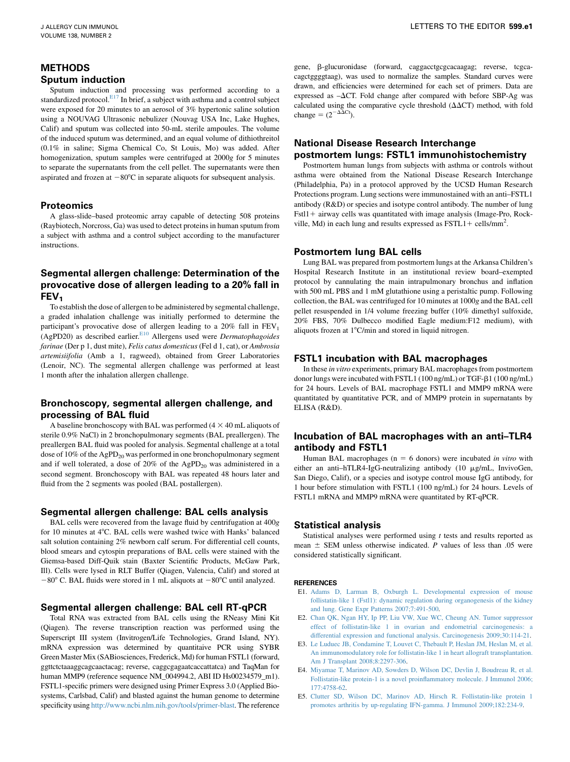## <span id="page-4-0"></span>METHODS Sputum induction

Sputum induction and processing was performed according to a standardized protocol. $E^{17}$  In brief, a subject with asthma and a control subject were exposed for 20 minutes to an aerosol of 3% hypertonic saline solution using a NOUVAG Ultrasonic nebulizer (Nouvag USA Inc, Lake Hughes, Calif) and sputum was collected into 50-mL sterile ampoules. The volume of the induced sputum was determined, and an equal volume of dithiothreitol (0.1% in saline; Sigma Chemical Co, St Louis, Mo) was added. After homogenization, sputum samples were centrifuged at 2000g for 5 minutes to separate the supernatants from the cell pellet. The supernatants were then aspirated and frozen at  $-80^{\circ}$ C in separate aliquots for subsequent analysis.

### **Proteomics**

A glass-slide–based proteomic array capable of detecting 508 proteins (Raybiotech, Norcross, Ga) was used to detect proteins in human sputum from a subject with asthma and a control subject according to the manufacturer instructions.

# Segmental allergen challenge: Determination of the provocative dose of allergen leading to a 20% fall in FEV<sub>1</sub>

To establish the dose of allergen to be administered by segmental challenge, a graded inhalation challenge was initially performed to determine the participant's provocative dose of allergen leading to a  $20\%$  fall in  $FEV<sub>1</sub>$ (AgPD20) as described earlier.<sup>E10</sup> Allergens used were *Dermatophagoides* farinae (Der p 1, dust mite), Felis catus domesticus (Fel d 1, cat), or Ambrosia artemisiifolia (Amb a 1, ragweed), obtained from Greer Laboratories (Lenoir, NC). The segmental allergen challenge was performed at least 1 month after the inhalation allergen challenge.

# Bronchoscopy, segmental allergen challenge, and processing of BAL fluid

A baseline bronchoscopy with BAL was performed  $(4 \times 40 \text{ mL}$  aliquots of sterile 0.9% NaCl) in 2 bronchopulmonary segments (BAL preallergen). The preallergen BAL fluid was pooled for analysis. Segmental challenge at a total dose of  $10\%$  of the AgPD<sub>20</sub> was performed in one bronchopulmonary segment and if well tolerated, a dose of  $20\%$  of the AgPD<sub>20</sub> was administered in a second segment. Bronchoscopy with BAL was repeated 48 hours later and fluid from the 2 segments was pooled (BAL postallergen).

### Segmental allergen challenge: BAL cells analysis

BAL cells were recovered from the lavage fluid by centrifugation at 400g for 10 minutes at 4°C. BAL cells were washed twice with Hanks' balanced salt solution containing 2% newborn calf serum. For differential cell counts, blood smears and cytospin preparations of BAL cells were stained with the Giemsa-based Diff-Quik stain (Baxter Scientific Products, McGaw Park, Ill). Cells were lysed in RLT Buffer (Qiagen, Valencia, Calif) and stored at  $-80^{\circ}$  C. BAL fluids were stored in 1 mL aliquots at  $-80^{\circ}$ C until analyzed.

#### Segmental allergen challenge: BAL cell RT-qPCR

Total RNA was extracted from BAL cells using the RNeasy Mini Kit (Qiagen). The reverse transcription reaction was performed using the Superscript III system (Invitrogen/Life Technologies, Grand Island, NY). mRNA expression was determined by quantitaive PCR using SYBR Green Master Mix (SABiosciences, Frederick, Md) for human FSTL1 (forward, ggttctctaaaggcagcaactacag; reverse, caggcgagaatcaccattatca) and TaqMan for human MMP9 (reference sequence NM\_004994.2, ABI ID Hs00234579\_m1). FSTL1-specific primers were designed using Primer Express 3.0 (Applied Biosystems, Carlsbad, Calif) and blasted against the human genome to determine specificity using [http://www.ncbi.nlm.nih.gov/tools/primer-blast.](http://www.ncbi.nlm.nih.gov/tools/primer-blast) The reference

gene, b-glucuronidase (forward, caggacctgcgcacaagag; reverse, tcgcacagctggggtaag), was used to normalize the samples. Standard curves were drawn, and efficiencies were determined for each set of primers. Data are expressed as  $-\Delta CT$ . Fold change after compared with before SBP-Ag was calculated using the comparative cycle threshold  $(\Delta \Delta CT)$  method, with fold change =  $(2^{-\Delta \Delta \text{Ct}})$ .

## National Disease Research Interchange postmortem lungs: FSTL1 immunohistochemistry

Postmortem human lungs from subjects with asthma or controls without asthma were obtained from the National Disease Research Interchange (Philadelphia, Pa) in a protocol approved by the UCSD Human Research Protections program. Lung sections were immunostained with an anti–FSTL1 antibody (R&D) or species and isotype control antibody. The number of lung  $Fst11 + airway cells was quantitated with image analysis (Image-Pro, Rock$ ville, Md) in each lung and results expressed as  $\text{FSTL1} + \text{cells/mm}^2$ .

#### Postmortem lung BAL cells

Lung BAL was prepared from postmortem lungs at the Arkansa Children's Hospital Research Institute in an institutional review board–exempted protocol by cannulating the main intrapulmonary bronchus and inflation with 500 mL PBS and 1 mM glutathione using a peristaltic pump. Following collection, the BAL was centrifuged for 10 minutes at 1000g and the BAL cell pellet resuspended in 1/4 volume freezing buffer (10% dimethyl sulfoxide, 20% FBS, 70% Dulbecco modified Eagle medium:F12 medium), with aliquots frozen at  $1^{\circ}$ C/min and stored in liquid nitrogen.

### FSTL1 incubation with BAL macrophages

In these in vitro experiments, primary BAL macrophages from postmortem donor lungs were incubated with FSTL1 (100 ng/mL) or TGF- $\beta$ 1 (100 ng/mL) for 24 hours. Levels of BAL macrophage FSTL1 and MMP9 mRNA were quantitated by quantitative PCR, and of MMP9 protein in supernatants by ELISA (R&D).

# Incubation of BAL macrophages with an anti–TLR4 antibody and FSTL1

Human BAL macrophages ( $n = 6$  donors) were incubated in vitro with either an anti-hTLR4-IgG-neutralizing antibody (10 µg/mL, InvivoGen, San Diego, Calif), or a species and isotype control mouse IgG antibody, for 1 hour before stimulation with FSTL1 (100 ng/mL) for 24 hours. Levels of FSTL1 mRNA and MMP9 mRNA were quantitated by RT-qPCR.

### Statistical analysis

Statistical analyses were performed using  $t$  tests and results reported as mean  $\pm$  SEM unless otherwise indicated. P values of less than .05 were considered statistically significant.

#### **REFERENCES**

- E1. [Adams D, Larman B, Oxburgh L. Developmental expression of mouse](http://refhub.elsevier.com/S0091-6749(16)00256-6/sref10) [follistatin-like 1 \(Fstl1\): dynamic regulation during organogenesis of the kidney](http://refhub.elsevier.com/S0091-6749(16)00256-6/sref10) [and lung. Gene Expr Patterns 2007;7:491-500](http://refhub.elsevier.com/S0091-6749(16)00256-6/sref10).
- E2. [Chan QK, Ngan HY, Ip PP, Liu VW, Xue WC, Cheung AN. Tumor suppressor](http://refhub.elsevier.com/S0091-6749(16)00256-6/sref11) [effect of follistatin-like 1 in ovarian and endometrial carcinogenesis: a](http://refhub.elsevier.com/S0091-6749(16)00256-6/sref11) [differential expression and functional analysis. Carcinogenesis 2009;30:114-21.](http://refhub.elsevier.com/S0091-6749(16)00256-6/sref11)
- E3. [Le Luduec JB, Condamine T, Louvet C, Thebault P, Heslan JM, Heslan M, et al.](http://refhub.elsevier.com/S0091-6749(16)00256-6/sref12) [An immunomodulatory role for follistatin-like 1 in heart allograft transplantation.](http://refhub.elsevier.com/S0091-6749(16)00256-6/sref12) [Am J Transplant 2008;8:2297-306.](http://refhub.elsevier.com/S0091-6749(16)00256-6/sref12)
- E4. [Miyamae T, Marinov AD, Sowders D, Wilson DC, Devlin J, Boudreau R, et al.](http://refhub.elsevier.com/S0091-6749(16)00256-6/sref13) [Follistatin-like protein-1 is a novel proinflammatory molecule. J Immunol 2006;](http://refhub.elsevier.com/S0091-6749(16)00256-6/sref13) [177:4758-62.](http://refhub.elsevier.com/S0091-6749(16)00256-6/sref13)
- E5. [Clutter SD, Wilson DC, Marinov AD, Hirsch R. Follistatin-like protein 1](http://refhub.elsevier.com/S0091-6749(16)00256-6/sref14) [promotes arthritis by up-regulating IFN-gamma. J Immunol 2009;182:234-9](http://refhub.elsevier.com/S0091-6749(16)00256-6/sref14).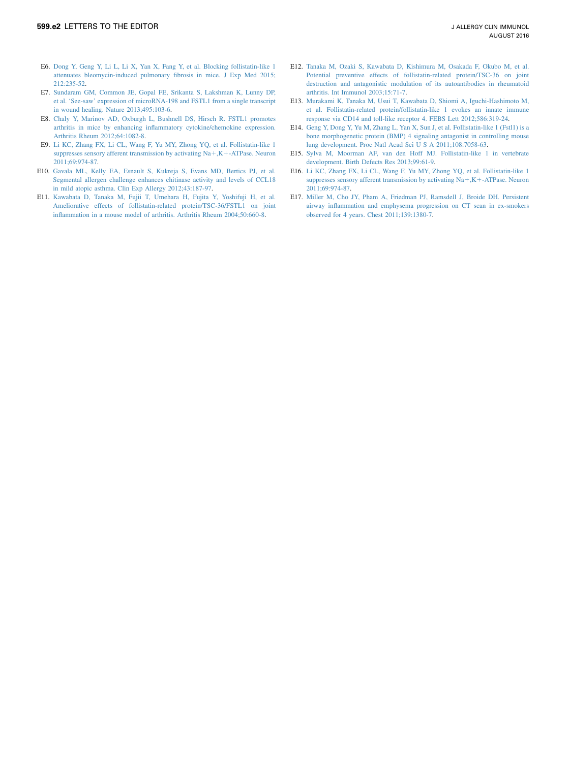- <span id="page-5-0"></span>E6. [Dong Y, Geng Y, Li L, Li X, Yan X, Fang Y, et al. Blocking follistatin-like 1](http://refhub.elsevier.com/S0091-6749(16)00256-6/sref15) [attenuates bleomycin-induced pulmonary fibrosis in mice. J Exp Med 2015;](http://refhub.elsevier.com/S0091-6749(16)00256-6/sref15) [212:235-52](http://refhub.elsevier.com/S0091-6749(16)00256-6/sref15).
- E7. [Sundaram GM, Common JE, Gopal FE, Srikanta S, Lakshman K, Lunny DP,](http://refhub.elsevier.com/S0091-6749(16)30367-0/sref16) [et al. 'See-saw' expression of microRNA-198 and FSTL1 from a single transcript](http://refhub.elsevier.com/S0091-6749(16)30367-0/sref16) [in wound healing. Nature 2013;495:103-6.](http://refhub.elsevier.com/S0091-6749(16)30367-0/sref16)
- E8. [Chaly Y, Marinov AD, Oxburgh L, Bushnell DS, Hirsch R. FSTL1 promotes](http://refhub.elsevier.com/S0091-6749(16)30367-0/sref17) [arthritis in mice by enhancing inflammatory cytokine/chemokine expression.](http://refhub.elsevier.com/S0091-6749(16)30367-0/sref17) [Arthritis Rheum 2012;64:1082-8](http://refhub.elsevier.com/S0091-6749(16)30367-0/sref17).
- E9. [Li KC, Zhang FX, Li CL, Wang F, Yu MY, Zhong YQ, et al. Follistatin-like 1](http://refhub.elsevier.com/S0091-6749(16)30367-0/sref18) suppresses sensory afferent transmission by activating  $Na + , K + -ATP$ ase. Neuron [2011;69:974-87.](http://refhub.elsevier.com/S0091-6749(16)30367-0/sref18)
- E10. [Gavala ML, Kelly EA, Esnault S, Kukreja S, Evans MD, Bertics PJ, et al.](http://refhub.elsevier.com/S0091-6749(16)30367-0/sref19) [Segmental allergen challenge enhances chitinase activity and levels of CCL18](http://refhub.elsevier.com/S0091-6749(16)30367-0/sref19) [in mild atopic asthma. Clin Exp Allergy 2012;43:187-97](http://refhub.elsevier.com/S0091-6749(16)30367-0/sref19).
- E11. [Kawabata D, Tanaka M, Fujii T, Umehara H, Fujita Y, Yoshifuji H, et al.](http://refhub.elsevier.com/S0091-6749(16)30367-0/sref20) [Ameliorative effects of follistatin-related protein/TSC-36/FSTL1 on joint](http://refhub.elsevier.com/S0091-6749(16)30367-0/sref20) [inflammation in a mouse model of arthritis. Arthritis Rheum 2004;50:660-8.](http://refhub.elsevier.com/S0091-6749(16)30367-0/sref20)
- E12. [Tanaka M, Ozaki S, Kawabata D, Kishimura M, Osakada F, Okubo M, et al.](http://refhub.elsevier.com/S0091-6749(16)30367-0/sref21) [Potential preventive effects of follistatin-related protein/TSC-36 on joint](http://refhub.elsevier.com/S0091-6749(16)30367-0/sref21) [destruction and antagonistic modulation of its autoantibodies in rheumatoid](http://refhub.elsevier.com/S0091-6749(16)30367-0/sref21) [arthritis. Int Immunol 2003;15:71-7](http://refhub.elsevier.com/S0091-6749(16)30367-0/sref21).
- E13. [Murakami K, Tanaka M, Usui T, Kawabata D, Shiomi A, Iguchi-Hashimoto M,](http://refhub.elsevier.com/S0091-6749(16)30367-0/sref22) [et al. Follistatin-related protein/follistatin-like 1 evokes an innate immune](http://refhub.elsevier.com/S0091-6749(16)30367-0/sref22) [response via CD14 and toll-like receptor 4. FEBS Lett 2012;586:319-24.](http://refhub.elsevier.com/S0091-6749(16)30367-0/sref22)
- E14. [Geng Y, Dong Y, Yu M, Zhang L, Yan X, Sun J, et al. Follistatin-like 1 \(Fstl1\) is a](http://refhub.elsevier.com/S0091-6749(16)30367-0/sref23) [bone morphogenetic protein \(BMP\) 4 signaling antagonist in controlling mouse](http://refhub.elsevier.com/S0091-6749(16)30367-0/sref23) [lung development. Proc Natl Acad Sci U S A 2011;108:7058-63.](http://refhub.elsevier.com/S0091-6749(16)30367-0/sref23)
- E15. [Sylva M, Moorman AF, van den Hoff MJ. Follistatin-like 1 in vertebrate](http://refhub.elsevier.com/S0091-6749(16)30367-0/sref24) [development. Birth Defects Res 2013;99:61-9](http://refhub.elsevier.com/S0091-6749(16)30367-0/sref24).
- E16. [Li KC, Zhang FX, Li CL, Wang F, Yu MY, Zhong YQ, et al. Follistatin-like 1](http://refhub.elsevier.com/S0091-6749(16)30367-0/sref25) suppresses sensory afferent transmission by activating  $Na + , K + -ATP$ ase. Neuron [2011;69:974-87](http://refhub.elsevier.com/S0091-6749(16)30367-0/sref25).
- E17. [Miller M, Cho JY, Pham A, Friedman PJ, Ramsdell J, Broide DH. Persistent](http://refhub.elsevier.com/S0091-6749(16)30367-0/sref26) [airway inflammation and emphysema progression on CT scan in ex-smokers](http://refhub.elsevier.com/S0091-6749(16)30367-0/sref26) [observed for 4 years. Chest 2011;139:1380-7](http://refhub.elsevier.com/S0091-6749(16)30367-0/sref26).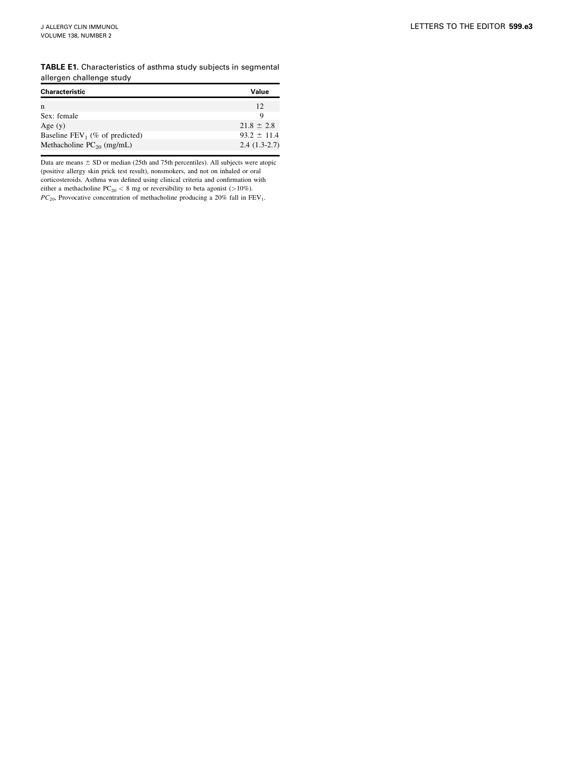<span id="page-6-0"></span>TABLE E1. Characteristics of asthma study subjects in segmental allergen challenge study

| Characteristic                    | Value           |
|-----------------------------------|-----------------|
| n                                 | 12              |
| Sex: female                       | Q               |
| Age $(y)$                         | $21.8 \pm 2.8$  |
| Baseline $FEV_1$ (% of predicted) | $93.2 \pm 11.4$ |
| Methacholine $PC_{20}$ (mg/mL)    | $2.4(1.3-2.7)$  |

Data are means  $\pm$  SD or median (25th and 75th percentiles). All subjects were atopic (positive allergy skin prick test result), nonsmokers, and not on inhaled or oral corticosteroids. Asthma was defined using clinical criteria and confirmation with either a methacholine  ${\rm PC_{20}} < 8$  mg or reversibility to beta agonist (>10%).  $PC_{20}$ , Provocative concentration of methacholine producing a 20% fall in FEV<sub>1</sub>.